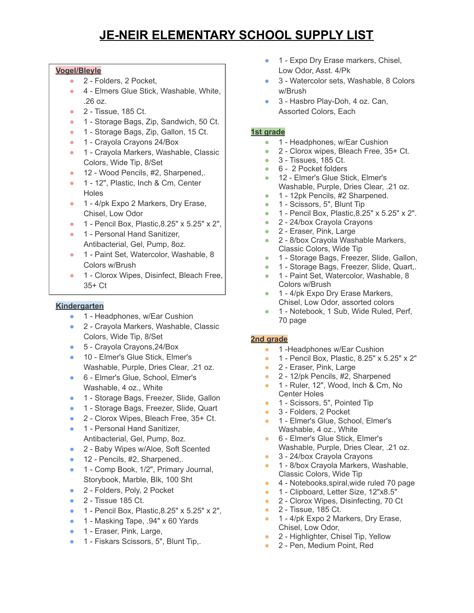# **JE-NEIR ELEMENTARY SCHOOL SUPPLY LIST**

#### **Vogel/Bleyle**

- 2 Folders, 2 Pocket,
- 4 Elmers Glue Stick, Washable, White, .26 oz.
- 2 Tissue, 185 Ct.
- 1 Storage Bags, Zip, Sandwich, 50 Ct.
- 1 Storage Bags, Zip, Gallon, 15 Ct.
- 1 Crayola Crayons 24/Box
- 1 Crayola Markers, Washable, Classic Colors, Wide Tip, 8/Set
- 12 Wood Pencils, #2, Sharpened,.
- 1 12", Plastic, Inch & Cm, Center Holes
- 1 4/pk Expo 2 Markers, Dry Erase, Chisel, Low Odor
- 1 Pencil Box, Plastic, 8.25" x 5.25" x 2",
- 1 Personal Hand Sanitizer, Antibacterial, Gel, Pump, 8oz.
- 1 Paint Set, Watercolor, Washable, 8 Colors w/Brush
- 1 Clorox Wipes, Disinfect, Bleach Free, 35+ Ct

## **Kindergarten**

- 1 Headphones, w/Ear Cushion
- 2 Crayola Markers, Washable, Classic Colors, Wide Tip, 8/Set
- 5 Crayola Crayons, 24/Box
- 10 Elmer's Glue Stick, Elmer's Washable, Purple, Dries Clear, .21 oz.
- 6 Elmer's Glue, School, Elmer's Washable, 4 oz., White
- 1 Storage Bags, Freezer, Slide, Gallon
- 1 Storage Bags, Freezer, Slide, Quart
- 2 Clorox Wipes, Bleach Free, 35+ Ct.
- 1 Personal Hand Sanitizer, Antibacterial, Gel, Pump, 8oz.
- 2 Baby Wipes w/Aloe, Soft Scented
- 12 Pencils, #2, Sharpened,.
- 1 Comp Book, 1/2", Primary Journal, Storybook, Marble, Blk, 100 Sht
- 2 Folders, Poly, 2 Pocket
- 2 Tissue 185 Ct.
- 1 Pencil Box, Plastic,8.25" x 5.25" x 2",
- 1 Masking Tape, .94" x 60 Yards
- 1 Eraser, Pink, Large,
- 1 Fiskars Scissors, 5", Blunt Tip,.
- 1 Expo Dry Erase markers, Chisel, Low Odor, Asst. 4/Pk
- 3 Watercolor sets, Washable, 8 Colors w/Brush
- 3 Hasbro Play-Doh, 4 oz. Can, Assorted Colors, Each

### **1st grade**

- 1 Headphones, w/Ear Cushion
- 2 Clorox wipes, Bleach Free, 35+ Ct.
- 3 Tissues, 185 Ct.
- 6 2 Pocket folders
- 12 Elmer's Glue Stick, Elmer's Washable, Purple, Dries Clear, .21 oz.
- 1 12pk Pencils, #2 Sharpened.
- 1 Scissors, 5", Blunt Tip
- 1 Pencil Box, Plastic,8.25" x 5.25" x 2".
- 2 24/box Crayola Crayons
- 2 Eraser, Pink, Large
- 2 8/box Crayola Washable Markers, Classic Colors, Wide Tip
- 1 Storage Bags, Freezer, Slide, Gallon,
- 1 Storage Bags, Freezer, Slide, Quart,.
- 1 Paint Set, Watercolor, Washable, 8 Colors w/Brush
- 1 4/pk Expo Dry Erase Markers, Chisel, Low Odor, assorted colors
- 1 Notebook, 1 Sub, Wide Ruled, Perf, 70 page

### **2nd grade**

- 1 -Headphones w/Ear Cushion
- 1 Pencil Box, Plastic, 8.25" x 5.25" x 2"
- 2 Eraser, Pink, Large
- 2 12/pk Pencils, #2, Sharpened
- 1 Ruler, 12", Wood, Inch & Cm, No Center Holes
- 1 Scissors, 5", Pointed Tip
- 3 Folders, 2 Pocket
- 1 Elmer's Glue, School, Elmer's Washable, 4 oz., White
- 6 Elmer's Glue Stick, Elmer's Washable, Purple, Dries Clear, .21 oz.
- 3 24/box Crayola Crayons
- 1 8/box Crayola Markers, Washable, Classic Colors, Wide Tip
- 4 Notebooks, spiral, wide ruled 70 page
- 1 Clipboard, Letter Size, 12"x8.5"
- 2 Clorox Wipes, Disinfecting, 70 Ct
- 2 Tissue, 185 Ct.
- 1 4/pk Expo 2 Markers, Dry Erase, Chisel, Low Odor,
- 2 Highlighter, Chisel Tip, Yellow
- 2 Pen, Medium Point, Red